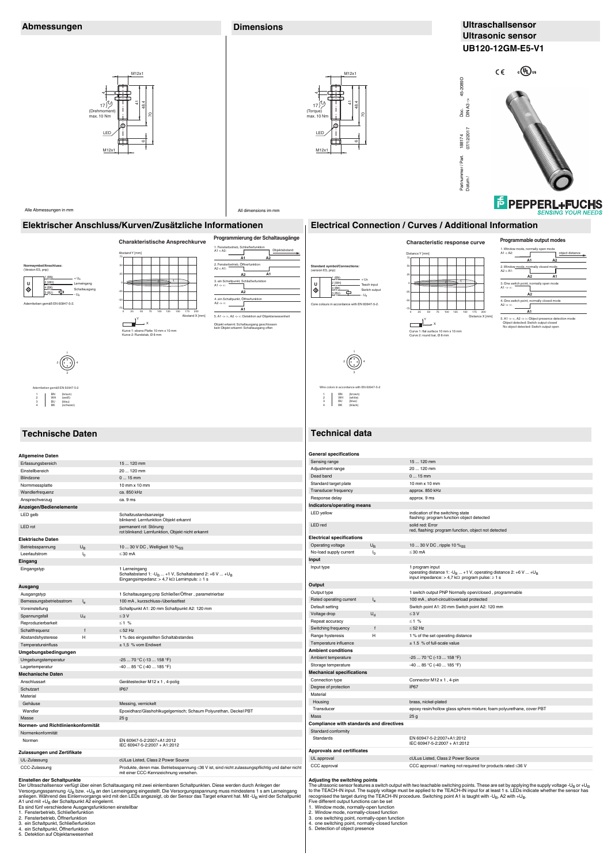**Elektrische Daten** Betriebsspannung U<sub>B</sub> 10 ... 30 V DC, Welligkeit 10 %<sub>SS</sub>

Leerlaufstrom  $I_0$   $\leq 30$  mA **Eingang**

**Ausgang** Ausgangstyp 1 Schaltausgang pnp Schließer/Öffner , parametrierbar Bemessungsbetriebsstrom I<sup>e</sup> 100 mA , kurzschluss-/überlastfest Voreinstellung **Schaltpunkt A1: 20 mm Schaltpunkt A2: 120 mm** Spannungsfall  $U_d$  ≤ 3 V Reproduzierbarkeit ≤ 1 % Schaltfrequenz f ≤ 52 Hz Abstandshysterese H 1 % des eingestellten Schaltabstandes

### **Einstellen der Schaltpunkte**

Der Ultraschallsensor verfügt über einen Schaltausgang mit zwei einlernbaren Schaltpunkten. Diese werden durch Anlegen der Versorgungsspannung -U<sub>B</sub> bzw. +U<sub>B</sub> an den Lerneingang eingestellt. Die Versorgungsspannung muss mindestens 1 s am Lerneingang<br>anliegen. Während des Einlernvorgangs wird mit den LEDs angezeigt, ob der Sensor das Target er A1 und mit +U<sub>B</sub> der Schaltpunkt A2 eingelernt.<br>Es sind fünf verschiedene Ausgangsfunktionen einstellbar 1. Fensterbetrieb, Schließerfunktion 2. Fensterbetrieb, Öffnerfunktion

- 3. ein Schaltpunkt, Schließerfunktion
- 4. ein Schaltpunkt, Öffnerfunktion
- 5. Detektion auf Objektanwesenheit

LED rot permanent rot: Störung rot blinkend: Lernfunktion, Objekt nicht erkannt

Eingangstyp 1 Lerneingang Schaltabstand 1: -UB ... +1 V, Schaltabstand 2: +6 V ... +U<sup>B</sup> Eingangsimpedanz: > 4,7 kΩ Lernimpuls: ≥ 1 s

**Umgebungsbedingungen**

Temperatureinfluss  $\pm 1.5$  % vom Endwert

LED red solid red: Error red, flashing: program function, object not detected **Electrical specifications** Operating voltage  $U_B$  10 ... 30 V DC , ripple 10 %<sub>SS</sub> No-load supply current  $I_0$   $\leq$  30 mA **Input** Input type 1 program input operating distance 1: -U<sub>B</sub> ... +1 V, operating distance 2: +6 V ... +U<sub>B</sub><br>input impedance: > 4,7 kΩ program pulse: ≥ 1 s **Output** Output type 1 switch output PNP Normally open/closed , programmable Rated operating current I<sub>e</sub> 100 mA, short-circuit/overload protected Default setting **Switch point A1: 20 mm Switch point A2: 120 mm** Voltage drop  $U_d$  ≤ 3 V Repeat accuracy  $\leq 1$  % Switching frequency f  $\leq 52$  Hz

Range hysteresis H 1 % of the set operating distance Temperature influence  $\pm 1.5$  % of full-scale value

| ungcbangsbcamgangcn                |                                                                                                                                          |
|------------------------------------|------------------------------------------------------------------------------------------------------------------------------------------|
| Umgebungstemperatur                | $-2570 °C (-13158 °F)$                                                                                                                   |
| Lagertemperatur                    | $-4085$ °C ( $-40185$ °F)                                                                                                                |
| <b>Mechanische Daten</b>           |                                                                                                                                          |
| Anschlussart                       | Gerätestecker M12 x 1, 4-polig                                                                                                           |
| Schutzart                          | IP67                                                                                                                                     |
| Material                           |                                                                                                                                          |
| Gehäuse                            | Messing, vernickelt                                                                                                                      |
| Wandler                            | Epoxidharz/Glashohlkugelgemisch; Schaum Polyurethan, Deckel PBT                                                                          |
| Masse                              | 25 <sub>g</sub>                                                                                                                          |
| Normen- und Richtlinienkonformität |                                                                                                                                          |
| Normenkonformität                  |                                                                                                                                          |
| Normen                             | EN 60947-5-2:2007+A1:2012<br>IEC 60947-5-2:2007 + A1:2012                                                                                |
| Zulassungen und Zertifikate        |                                                                                                                                          |
| UL-Zulassung                       | cULus Listed. Class 2 Power Source                                                                                                       |
| CCC-Zulassung                      | Produkte, deren max. Betriebsspannung ≤36 V ist, sind nicht zulassungspflichtig und daher nicht<br>mit einer CCC-Kennzeichnung versehen. |
|                                    |                                                                                                                                          |

## **Adjusting the switching points**

The ultrasonic sensor features a switch output with two teachable switching points. These are set by applying the supply voltage -U<sub>B</sub> or +U<sub>B</sub><br>to the TEACH-IN input. The supply voltage must be applied to the TEACH-IN inpu

Five different output functions can be set

- 1. Window mode, normally-open function
- 2. Window mode, normally-closed function
- 3. one switching point, normally-open function
- 4. one switching point, normally-closed function 5. Detection of object presence
- 



| $-2570 °C (-13158 °F)$                                                |
|-----------------------------------------------------------------------|
| $-4085$ °C ( $-40185$ °F)                                             |
|                                                                       |
| Connector M12 x 1, 4-pin                                              |
| IP67                                                                  |
|                                                                       |
| brass, nickel-plated                                                  |
| epoxy resin/hollow glass sphere mixture; foam polyurethane, cover PBT |
| 25q                                                                   |
|                                                                       |
|                                                                       |
| EN 60947-5-2:2007+A1:2012<br>IEC 60947-5-2:2007 + A1:2012             |
|                                                                       |
| cULus Listed, Class 2 Power Source                                    |
| CCC approval / marking not required for products rated $\leq$ 36 V    |
|                                                                       |